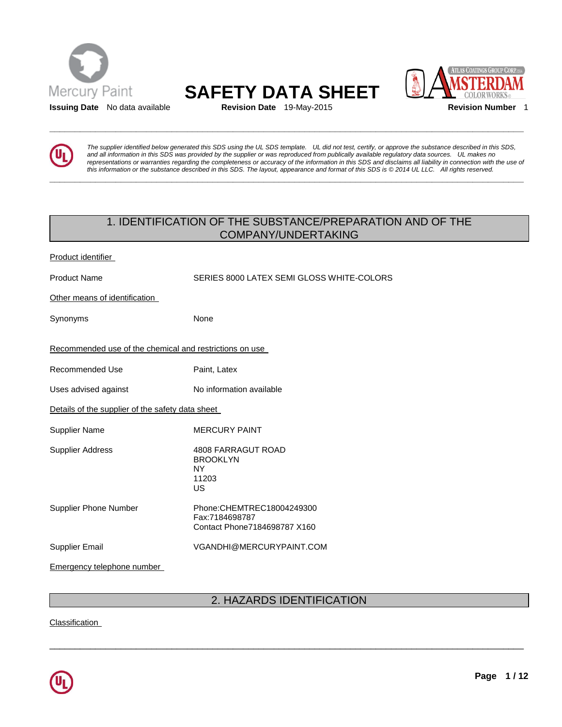



**\_\_\_\_\_\_\_\_\_\_\_\_\_\_\_\_\_\_\_\_\_\_\_\_\_\_\_\_\_\_\_\_\_\_\_\_\_\_\_\_\_\_\_\_\_\_\_\_\_\_\_\_\_\_\_\_\_\_\_\_\_\_\_\_\_\_\_\_\_\_\_\_\_\_\_\_\_\_\_\_\_\_\_\_\_\_\_\_\_\_\_\_\_** 

**\_\_\_\_\_\_\_\_\_\_\_\_\_\_\_\_\_\_\_\_\_\_\_\_\_\_\_\_\_\_\_\_\_\_\_\_\_\_\_\_\_\_\_\_\_\_\_\_\_\_\_\_\_\_\_\_\_\_\_\_\_\_\_\_\_\_\_\_\_\_\_\_\_\_\_\_\_\_\_\_\_\_\_\_\_\_\_\_\_\_\_\_\_** 



*The supplier identified below generated this SDS using the UL SDS template. UL did not test, certify, or approve the substance described in this SDS, and all information in this SDS was provided by the supplier or was reproduced from publically available regulatory data sources. UL makes no representations or warranties regarding the completeness or accuracy of the information in this SDS and disclaims all liability in connection with the use of this information or the substance described in this SDS. The layout, appearance and format of this SDS is © 2014 UL LLC. All rights reserved.* 

## 1. IDENTIFICATION OF THE SUBSTANCE/PREPARATION AND OF THE COMPANY/UNDERTAKING

| Product identifier                                      |                                                                              |
|---------------------------------------------------------|------------------------------------------------------------------------------|
| <b>Product Name</b>                                     | SERIES 8000 LATEX SEMI GLOSS WHITE-COLORS                                    |
| Other means of identification                           |                                                                              |
| Synonyms                                                | None                                                                         |
| Recommended use of the chemical and restrictions on use |                                                                              |
| <b>Recommended Use</b>                                  | Paint, Latex                                                                 |
| Uses advised against                                    | No information available                                                     |
| Details of the supplier of the safety data sheet        |                                                                              |
| <b>Supplier Name</b>                                    | <b>MERCURY PAINT</b>                                                         |
| <b>Supplier Address</b>                                 | 4808 FARRAGUT ROAD<br><b>BROOKLYN</b><br><b>NY</b><br>11203<br><b>US</b>     |
| <b>Supplier Phone Number</b>                            | Phone: CHEMTREC18004249300<br>Fax:7184698787<br>Contact Phone7184698787 X160 |
| <b>Supplier Email</b>                                   | VGANDHI@MERCURYPAINT.COM                                                     |
| <b>Emergency telephone number</b>                       |                                                                              |

## 2. HAZARDS IDENTIFICATION

\_\_\_\_\_\_\_\_\_\_\_\_\_\_\_\_\_\_\_\_\_\_\_\_\_\_\_\_\_\_\_\_\_\_\_\_\_\_\_\_\_\_\_\_\_\_\_\_\_\_\_\_\_\_\_\_\_\_\_\_\_\_\_\_\_\_\_\_\_\_\_\_\_\_\_\_\_\_\_\_\_\_\_\_\_\_\_\_\_\_\_\_\_

Classification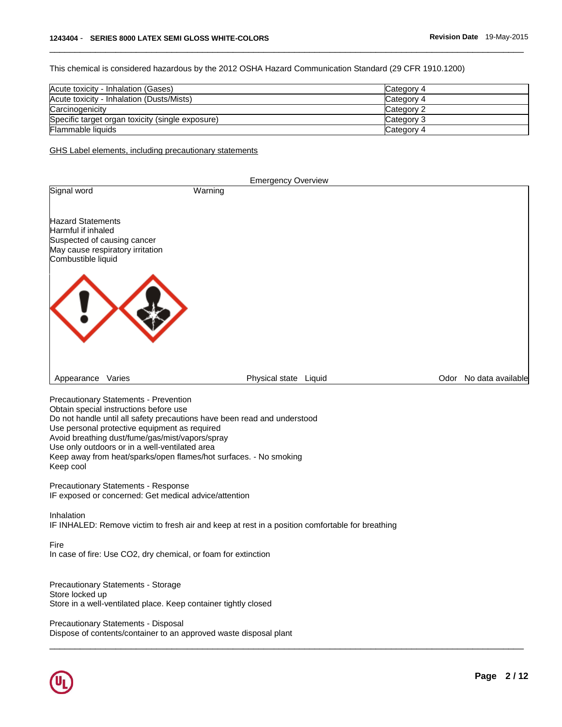This chemical is considered hazardous by the 2012 OSHA Hazard Communication Standard (29 CFR 1910.1200)

| Acute toxicity - Inhalation (Gases)              | Category 4 |
|--------------------------------------------------|------------|
| Acute toxicity - Inhalation (Dusts/Mists)        | Category 4 |
| Carcinogenicity                                  | Category 2 |
| Specific target organ toxicity (single exposure) | Category 3 |
| Flammable liquids                                | Category 4 |

\_\_\_\_\_\_\_\_\_\_\_\_\_\_\_\_\_\_\_\_\_\_\_\_\_\_\_\_\_\_\_\_\_\_\_\_\_\_\_\_\_\_\_\_\_\_\_\_\_\_\_\_\_\_\_\_\_\_\_\_\_\_\_\_\_\_\_\_\_\_\_\_\_\_\_\_\_\_\_\_\_\_\_\_\_\_\_\_\_\_\_\_\_

GHS Label elements, including precautionary statements

|                                                                                                                                         |         | <b>Emergency Overview</b> |                        |
|-----------------------------------------------------------------------------------------------------------------------------------------|---------|---------------------------|------------------------|
| Signal word                                                                                                                             | Warning |                           |                        |
| <b>Hazard Statements</b><br>Harmful if inhaled<br>Suspected of causing cancer<br>May cause respiratory irritation<br>Combustible liquid |         |                           |                        |
|                                                                                                                                         |         |                           |                        |
| Varies<br>Appearance                                                                                                                    |         | Physical state<br>Liquid  | Odor No data available |

\_\_\_\_\_\_\_\_\_\_\_\_\_\_\_\_\_\_\_\_\_\_\_\_\_\_\_\_\_\_\_\_\_\_\_\_\_\_\_\_\_\_\_\_\_\_\_\_\_\_\_\_\_\_\_\_\_\_\_\_\_\_\_\_\_\_\_\_\_\_\_\_\_\_\_\_\_\_\_\_\_\_\_\_\_\_\_\_\_\_\_\_\_

Precautionary Statements - Prevention Obtain special instructions before use Do not handle until all safety precautions have been read and understood Use personal protective equipment as required Avoid breathing dust/fume/gas/mist/vapors/spray Use only outdoors or in a well-ventilated area Keep away from heat/sparks/open flames/hot surfaces. - No smoking Keep cool

Precautionary Statements - Response IF exposed or concerned: Get medical advice/attention

Inhalation IF INHALED: Remove victim to fresh air and keep at rest in a position comfortable for breathing

Fire In case of fire: Use CO2, dry chemical, or foam for extinction

Precautionary Statements - Storage Store locked up Store in a well-ventilated place. Keep container tightly closed

Precautionary Statements - Disposal Dispose of contents/container to an approved waste disposal plant

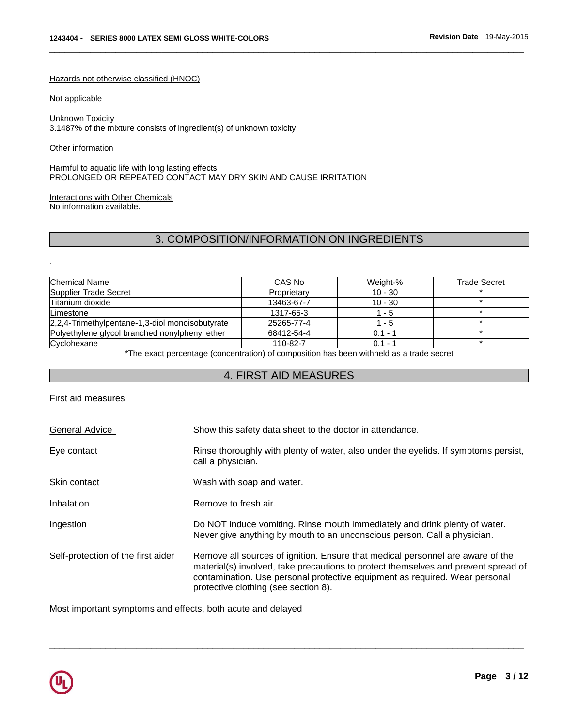#### Hazards not otherwise classified (HNOC)

Not applicable

#### Unknown Toxicity

3.1487% of the mixture consists of ingredient(s) of unknown toxicity

Other information

.

Harmful to aquatic life with long lasting effects PROLONGED OR REPEATED CONTACT MAY DRY SKIN AND CAUSE IRRITATION

# Interactions with Other Chemicals

No information available.

# 3. COMPOSITION/INFORMATION ON INGREDIENTS

\_\_\_\_\_\_\_\_\_\_\_\_\_\_\_\_\_\_\_\_\_\_\_\_\_\_\_\_\_\_\_\_\_\_\_\_\_\_\_\_\_\_\_\_\_\_\_\_\_\_\_\_\_\_\_\_\_\_\_\_\_\_\_\_\_\_\_\_\_\_\_\_\_\_\_\_\_\_\_\_\_\_\_\_\_\_\_\_\_\_\_\_\_

| Chemical Name                                   | CAS No      | Weight-%  | <b>Trade Secret</b> |
|-------------------------------------------------|-------------|-----------|---------------------|
| Supplier Trade Secret                           | Proprietary | $10 - 30$ |                     |
| Titanium dioxide                                | 13463-67-7  | $10 - 30$ |                     |
| Limestone                                       | 1317-65-3   | 1 - 5     |                     |
| 2,2,4-Trimethylpentane-1,3-diol monoisobutyrate | 25265-77-4  | $1 - 5$   |                     |
| Polyethylene glycol branched nonylphenyl ether  | 68412-54-4  | $0.1 - 1$ |                     |
| Cyclohexane                                     | 110-82-7    | $0.1 - 1$ |                     |

\*The exact percentage (concentration) of composition has been withheld as a trade secret

## 4. FIRST AID MEASURES

## First aid measures

| General Advice                     | Show this safety data sheet to the doctor in attendance.                                                                                                                                                                                                                                    |  |  |
|------------------------------------|---------------------------------------------------------------------------------------------------------------------------------------------------------------------------------------------------------------------------------------------------------------------------------------------|--|--|
| Eye contact                        | Rinse thoroughly with plenty of water, also under the eyelids. If symptoms persist,<br>call a physician.                                                                                                                                                                                    |  |  |
| Skin contact                       | Wash with soap and water.                                                                                                                                                                                                                                                                   |  |  |
| Inhalation                         | Remove to fresh air.                                                                                                                                                                                                                                                                        |  |  |
| Ingestion                          | Do NOT induce vomiting. Rinse mouth immediately and drink plenty of water.<br>Never give anything by mouth to an unconscious person. Call a physician.                                                                                                                                      |  |  |
| Self-protection of the first aider | Remove all sources of ignition. Ensure that medical personnel are aware of the<br>material(s) involved, take precautions to protect themselves and prevent spread of<br>contamination. Use personal protective equipment as required. Wear personal<br>protective clothing (see section 8). |  |  |

\_\_\_\_\_\_\_\_\_\_\_\_\_\_\_\_\_\_\_\_\_\_\_\_\_\_\_\_\_\_\_\_\_\_\_\_\_\_\_\_\_\_\_\_\_\_\_\_\_\_\_\_\_\_\_\_\_\_\_\_\_\_\_\_\_\_\_\_\_\_\_\_\_\_\_\_\_\_\_\_\_\_\_\_\_\_\_\_\_\_\_\_\_

Most important symptoms and effects, both acute and delayed

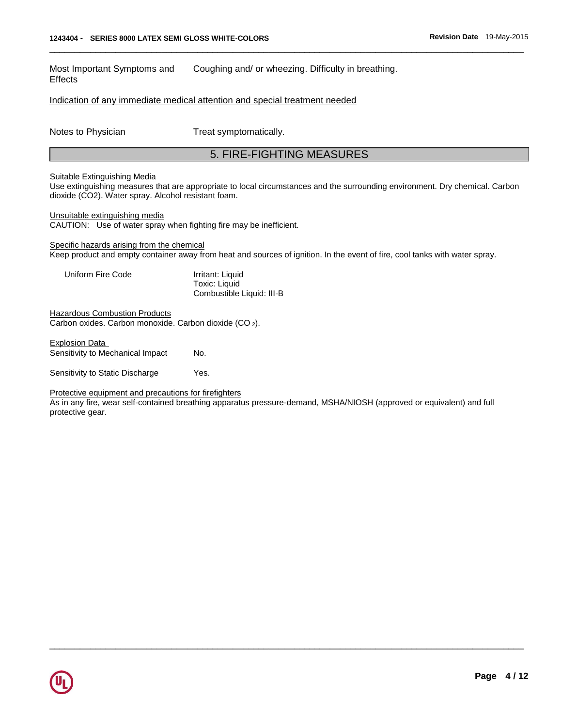Most Important Symptoms and Effects Coughing and/ or wheezing. Difficulty in breathing.

Indication of any immediate medical attention and special treatment needed

Notes to Physician Treat symptomatically.

## 5. FIRE-FIGHTING MEASURES

\_\_\_\_\_\_\_\_\_\_\_\_\_\_\_\_\_\_\_\_\_\_\_\_\_\_\_\_\_\_\_\_\_\_\_\_\_\_\_\_\_\_\_\_\_\_\_\_\_\_\_\_\_\_\_\_\_\_\_\_\_\_\_\_\_\_\_\_\_\_\_\_\_\_\_\_\_\_\_\_\_\_\_\_\_\_\_\_\_\_\_\_\_

#### Suitable Extinguishing Media

Use extinguishing measures that are appropriate to local circumstances and the surrounding environment. Dry chemical. Carbon dioxide (CO2). Water spray. Alcohol resistant foam.

Unsuitable extinguishing media

CAUTION: Use of water spray when fighting fire may be inefficient.

Specific hazards arising from the chemical Keep product and empty container away from heat and sources of ignition. In the event of fire, cool tanks with water spray.

| Uniform Fire Code | Irritant: Liquid          |
|-------------------|---------------------------|
|                   | Toxic: Liquid             |
|                   | Combustible Liquid: III-B |

**Hazardous Combustion Products** Carbon oxides. Carbon monoxide. Carbon dioxide (CO <sup>2</sup>).

Explosion Data Sensitivity to Mechanical Impact No.

Sensitivity to Static Discharge Yes.

Protective equipment and precautions for firefighters

As in any fire, wear self-contained breathing apparatus pressure-demand, MSHA/NIOSH (approved or equivalent) and full protective gear.

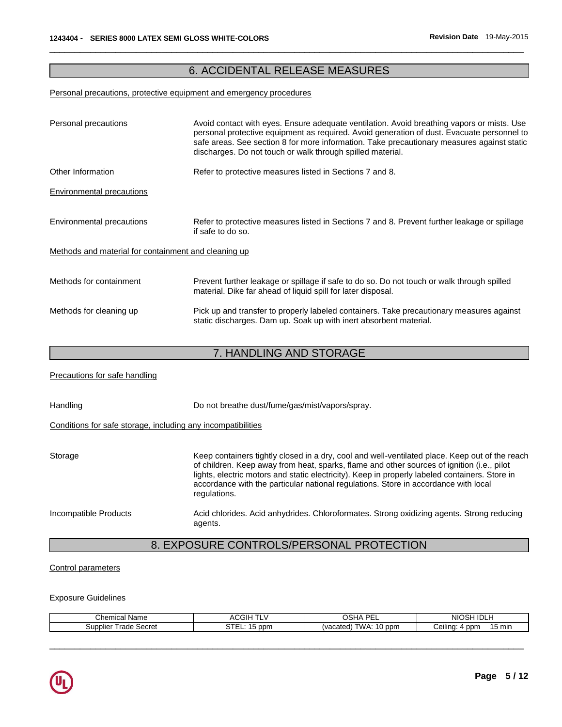## 6. ACCIDENTAL RELEASE MEASURES

\_\_\_\_\_\_\_\_\_\_\_\_\_\_\_\_\_\_\_\_\_\_\_\_\_\_\_\_\_\_\_\_\_\_\_\_\_\_\_\_\_\_\_\_\_\_\_\_\_\_\_\_\_\_\_\_\_\_\_\_\_\_\_\_\_\_\_\_\_\_\_\_\_\_\_\_\_\_\_\_\_\_\_\_\_\_\_\_\_\_\_\_\_

### Personal precautions, protective equipment and emergency procedures

| Personal precautions                                         | Avoid contact with eyes. Ensure adequate ventilation. Avoid breathing vapors or mists. Use<br>personal protective equipment as required. Avoid generation of dust. Evacuate personnel to<br>safe areas. See section 8 for more information. Take precautionary measures against static<br>discharges. Do not touch or walk through spilled material. |
|--------------------------------------------------------------|------------------------------------------------------------------------------------------------------------------------------------------------------------------------------------------------------------------------------------------------------------------------------------------------------------------------------------------------------|
| Other Information                                            | Refer to protective measures listed in Sections 7 and 8.                                                                                                                                                                                                                                                                                             |
| <b>Environmental precautions</b>                             |                                                                                                                                                                                                                                                                                                                                                      |
| Environmental precautions                                    | Refer to protective measures listed in Sections 7 and 8. Prevent further leakage or spillage<br>if safe to do so.                                                                                                                                                                                                                                    |
| Methods and material for containment and cleaning up         |                                                                                                                                                                                                                                                                                                                                                      |
| Methods for containment                                      | Prevent further leakage or spillage if safe to do so. Do not touch or walk through spilled<br>material. Dike far ahead of liquid spill for later disposal.                                                                                                                                                                                           |
| Methods for cleaning up                                      | Pick up and transfer to properly labeled containers. Take precautionary measures against<br>static discharges. Dam up. Soak up with inert absorbent material.                                                                                                                                                                                        |
|                                                              |                                                                                                                                                                                                                                                                                                                                                      |
|                                                              | 7. HANDLING AND STORAGE                                                                                                                                                                                                                                                                                                                              |
| Precautions for safe handling                                |                                                                                                                                                                                                                                                                                                                                                      |
| Handling                                                     | Do not breathe dust/fume/gas/mist/vapors/spray.                                                                                                                                                                                                                                                                                                      |
| Conditions for safe storage, including any incompatibilities |                                                                                                                                                                                                                                                                                                                                                      |

| Storage               | Keep containers tightly closed in a dry, cool and well-ventilated place. Keep out of the reach<br>of children. Keep away from heat, sparks, flame and other sources of ignition (i.e., pilot<br>lights, electric motors and static electricity). Keep in properly labeled containers. Store in<br>accordance with the particular national regulations. Store in accordance with local<br>regulations. |
|-----------------------|-------------------------------------------------------------------------------------------------------------------------------------------------------------------------------------------------------------------------------------------------------------------------------------------------------------------------------------------------------------------------------------------------------|
| Incompatible Products | Acid chlorides. Acid anhydrides. Chloroformates. Strong oxidizing agents. Strong reducing<br>agents.                                                                                                                                                                                                                                                                                                  |

# 8. EXPOSURE CONTROLS/PERSONAL PROTECTION

### Control parameters

### Exposure Guidelines

| Chemical<br>Name                   | ≏GIH<br>AC<br>. .                   | DE.<br><b>001</b><br>™∩~<br>.<br>-- | <b>IDLH</b><br><b>NIC</b>       |
|------------------------------------|-------------------------------------|-------------------------------------|---------------------------------|
| <b>Trade</b><br>Secret<br>Supplier | $\sim$ $\sim$<br>ppm<br>1 E L 1<br> | WA<br>10 ppm<br>vacated<br>.        | <br>15 min<br>∙ ppm<br>آeilino. |

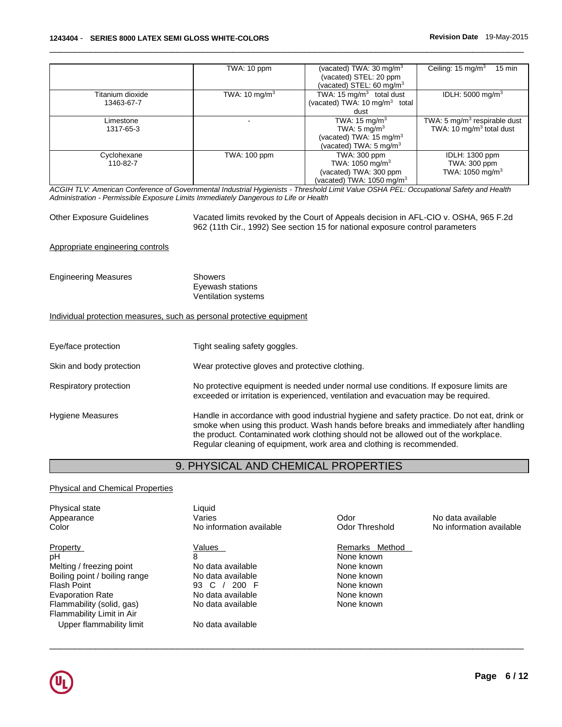|                                | TWA: 10 ppm              | (vacated) TWA: $30 \text{ mg/m}^3$<br>(vacated) STEL: 20 ppm<br>(vacated) STEL: 60 mg/m <sup>3</sup>                    | Ceiling: $15 \text{ mg/m}^3$<br>$15 \text{ min}$                       |
|--------------------------------|--------------------------|-------------------------------------------------------------------------------------------------------------------------|------------------------------------------------------------------------|
| Titanium dioxide<br>13463-67-7 | TWA: $10 \text{ mg/m}^3$ | TWA: 15 mg/ $\overline{m^3}$ total dust<br>(vacated) TWA: 10 mg/m <sup>3</sup> total<br>dust                            | IDLH: 5000 mg/m <sup>3</sup>                                           |
| Limestone<br>1317-65-3         |                          | TWA: $15 \text{ mg/m}^3$<br>TWA: 5 mg/m <sup>3</sup><br>(vacated) TWA: $15 \text{ mg/m}^3$<br>(vacated) TWA: 5 mg/m $3$ | TWA: 5 $mg/m3$ respirable dust<br>TWA: 10 $mq/m3$ total dust           |
| Cyclohexane<br>110-82-7        | TWA: 100 ppm             | TWA: 300 ppm<br>TWA: 1050 mg/m <sup>3</sup><br>(vacated) TWA: 300 ppm<br>(vacated) TWA: $1050 \text{ mg/m}^3$           | <b>IDLH: 1300 ppm</b><br>TWA: 300 ppm<br>TWA: $1050$ mg/m <sup>3</sup> |

\_\_\_\_\_\_\_\_\_\_\_\_\_\_\_\_\_\_\_\_\_\_\_\_\_\_\_\_\_\_\_\_\_\_\_\_\_\_\_\_\_\_\_\_\_\_\_\_\_\_\_\_\_\_\_\_\_\_\_\_\_\_\_\_\_\_\_\_\_\_\_\_\_\_\_\_\_\_\_\_\_\_\_\_\_\_\_\_\_\_\_\_\_

*ACGIH TLV: American Conference of Governmental Industrial Hygienists - Threshold Limit Value OSHA PEL: Occupational Safety and Health Administration - Permissible Exposure Limits Immediately Dangerous to Life or Health* 

| <b>Other Exposure Guidelines</b>                                      | Vacated limits revoked by the Court of Appeals decision in AFL-CIO v. OSHA, 965 F.2d<br>962 (11th Cir., 1992) See section 15 for national exposure control parameters                                                                                                                                                                                 |  |
|-----------------------------------------------------------------------|-------------------------------------------------------------------------------------------------------------------------------------------------------------------------------------------------------------------------------------------------------------------------------------------------------------------------------------------------------|--|
| Appropriate engineering controls                                      |                                                                                                                                                                                                                                                                                                                                                       |  |
| <b>Engineering Measures</b>                                           | <b>Showers</b><br>Eyewash stations<br>Ventilation systems                                                                                                                                                                                                                                                                                             |  |
| Individual protection measures, such as personal protective equipment |                                                                                                                                                                                                                                                                                                                                                       |  |
| Eye/face protection                                                   | Tight sealing safety goggles.                                                                                                                                                                                                                                                                                                                         |  |
| Skin and body protection                                              | Wear protective gloves and protective clothing.                                                                                                                                                                                                                                                                                                       |  |
| Respiratory protection                                                | No protective equipment is needed under normal use conditions. If exposure limits are<br>exceeded or irritation is experienced, ventilation and evacuation may be required.                                                                                                                                                                           |  |
| Hygiene Measures                                                      | Handle in accordance with good industrial hygiene and safety practice. Do not eat, drink or<br>smoke when using this product. Wash hands before breaks and immediately after handling<br>the product. Contaminated work clothing should not be allowed out of the workplace.<br>Regular cleaning of equipment, work area and clothing is recommended. |  |

# 9. PHYSICAL AND CHEMICAL PROPERTIES

### Physical and Chemical Properties

| Physical state<br>Appearance<br>Color | Liquid<br>Varies<br>No information available | Odor<br>Odor Threshold | No data available<br>No information available |
|---------------------------------------|----------------------------------------------|------------------------|-----------------------------------------------|
| <b>Property</b>                       | Values                                       | Remarks Method         |                                               |
| pH                                    | 8                                            | None known             |                                               |
| Melting / freezing point              | No data available                            | None known             |                                               |
| Boiling point / boiling range         | No data available                            | None known             |                                               |
| Flash Point                           | 93 $C /$<br>200 F                            | None known             |                                               |
| <b>Evaporation Rate</b>               | No data available                            | None known             |                                               |
| Flammability (solid, gas)             | No data available                            | None known             |                                               |
| Flammability Limit in Air             |                                              |                        |                                               |
| Upper flammability limit              | No data available                            |                        |                                               |

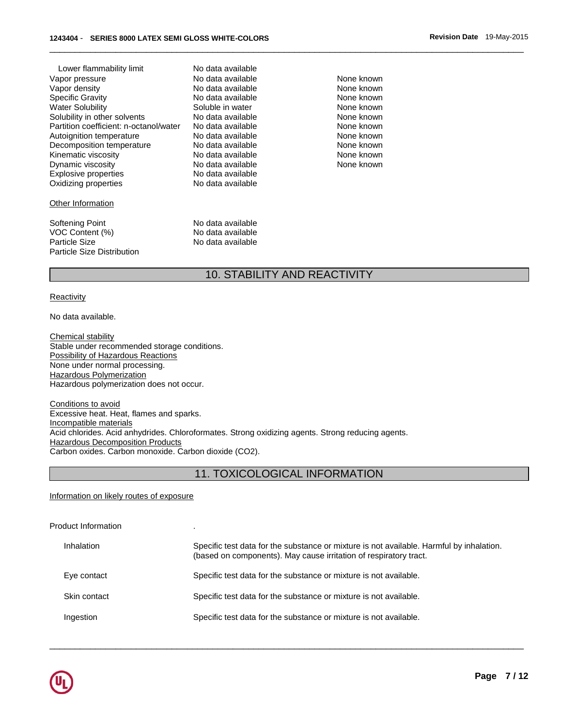| Lower flammability limit               | No data available |
|----------------------------------------|-------------------|
| Vapor pressure                         | No data available |
| Vapor density                          | No data available |
| <b>Specific Gravity</b>                | No data available |
| Water Solubility                       | Soluble in water  |
| Solubility in other solvents           | No data available |
| Partition coefficient: n-octanol/water | No data available |
| Autoignition temperature               | No data available |
| Decomposition temperature              | No data available |
| Kinematic viscosity                    | No data available |
| Dynamic viscosity                      | No data available |
| <b>Explosive properties</b>            | No data available |
| Oxidizing properties                   | No data available |
|                                        |                   |

#### **Other Information**

Softening Point **No data available**<br>VOC Content (%) No data available VOC Content (%) No data available<br>
Particle Size **No data available** Particle Size Distribution

Vapor available None known<br>No data available None known No data available No data available None known Soluble in water None known No data available **None known**<br>No data available None known No data available<br>No data available None known No data available No data available None known No data available None known No data available None known No data available No data available

No data available

## 10. STABILITY AND REACTIVITY

\_\_\_\_\_\_\_\_\_\_\_\_\_\_\_\_\_\_\_\_\_\_\_\_\_\_\_\_\_\_\_\_\_\_\_\_\_\_\_\_\_\_\_\_\_\_\_\_\_\_\_\_\_\_\_\_\_\_\_\_\_\_\_\_\_\_\_\_\_\_\_\_\_\_\_\_\_\_\_\_\_\_\_\_\_\_\_\_\_\_\_\_\_

#### **Reactivity**

No data available.

Chemical stability Stable under recommended storage conditions. Possibility of Hazardous Reactions None under normal processing. Hazardous Polymerization Hazardous polymerization does not occur.

Conditions to avoid Excessive heat. Heat, flames and sparks. Incompatible materials Acid chlorides. Acid anhydrides. Chloroformates. Strong oxidizing agents. Strong reducing agents. **Hazardous Decomposition Products** Carbon oxides. Carbon monoxide. Carbon dioxide (CO2).

## 11. TOXICOLOGICAL INFORMATION

Information on likely routes of exposure

Product Information .

| Inhalation   | Specific test data for the substance or mixture is not available. Harmful by inhalation.<br>(based on components). May cause irritation of respiratory tract. |
|--------------|---------------------------------------------------------------------------------------------------------------------------------------------------------------|
| Eye contact  | Specific test data for the substance or mixture is not available.                                                                                             |
| Skin contact | Specific test data for the substance or mixture is not available.                                                                                             |
| Ingestion    | Specific test data for the substance or mixture is not available.                                                                                             |

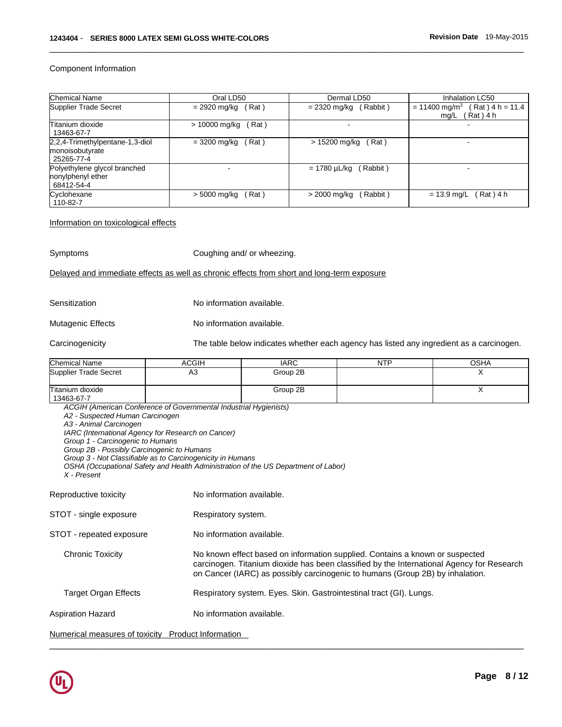Component Information

| <b>Chemical Name</b>                                             | Oral LD50              | Dermal LD50              | Inhalation LC50                                                        |
|------------------------------------------------------------------|------------------------|--------------------------|------------------------------------------------------------------------|
| Supplier Trade Secret                                            | Rat)<br>= 2920 mg/kg   | (Rabbit)<br>= 2320 mg/kg | $(Rat)$ 4 h = 11.4<br>$= 11400$ mg/m <sup>3</sup><br>Rat ) 4 h<br>mg/L |
| Titanium dioxide<br>13463-67-7                                   | > 10000 mg/kg<br>(Rat) |                          |                                                                        |
| 2,2,4-Trimethylpentane-1,3-diol<br>monoisobutyrate<br>25265-77-4 | (Rat)<br>= 3200 mg/kg  | (Rat)<br>> 15200 mg/kg   |                                                                        |
| Polyethylene glycol branched<br>nonylphenyl ether<br>68412-54-4  |                        | (Rabbit)<br>= 1780 µL/kg |                                                                        |
| Cyclohexane<br>110-82-7                                          | (Rat)<br>> 5000 mg/kg  | (Rabbit)<br>> 2000 mg/kg | (Rat)4 h<br>$= 13.9$ mg/L                                              |

\_\_\_\_\_\_\_\_\_\_\_\_\_\_\_\_\_\_\_\_\_\_\_\_\_\_\_\_\_\_\_\_\_\_\_\_\_\_\_\_\_\_\_\_\_\_\_\_\_\_\_\_\_\_\_\_\_\_\_\_\_\_\_\_\_\_\_\_\_\_\_\_\_\_\_\_\_\_\_\_\_\_\_\_\_\_\_\_\_\_\_\_\_

Information on toxicological effects

Symptoms Coughing and/ or wheezing.

#### Delayed and immediate effects as well as chronic effects from short and long-term exposure

Sensitization No information available.

Mutagenic Effects No information available.

Carcinogenicity The table below indicates whether each agency has listed any ingredient as a carcinogen.

| <b>Chemical Name</b>           | ACGIH | <b>IARC</b> | <b>NTP</b> | OSHA |
|--------------------------------|-------|-------------|------------|------|
| Supplier Trade Secret          | A3    | Group 2B    |            |      |
| Titanium dioxide<br>13463-67-7 |       | Group 2B    |            | . .  |

*ACGIH (American Conference of Governmental Industrial Hygienists) A2 - Suspected Human Carcinogen A3 - Animal Carcinogen IARC (International Agency for Research on Cancer) Group 1 - Carcinogenic to Humans Group 2B - Possibly Carcinogenic to Humans Group 3 - Not Classifiable as to Carcinogenicity in Humans OSHA (Occupational Safety and Health Administration of the US Department of Labor) X - Present*  Reproductive toxicity **No information available.** STOT - single exposure Respiratory system. STOT - repeated exposure No information available. Chronic Toxicity No known effect based on information supplied. Contains a known or suspected carcinogen. Titanium dioxide has been classified by the International Agency for Research on Cancer (IARC) as possibly carcinogenic to humans (Group 2B) by inhalation. Target Organ Effects Respiratory system. Eyes. Skin. Gastrointestinal tract (GI). Lungs. Aspiration Hazard No information available. Numerical measures of toxicity Product Information

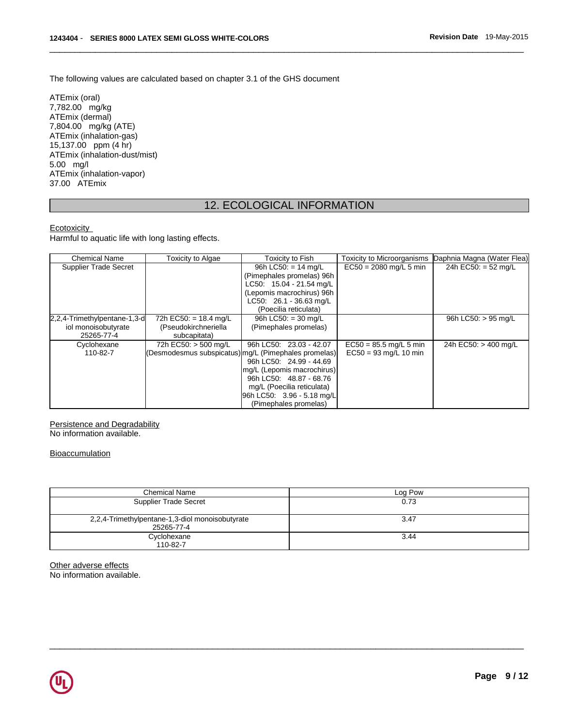The following values are calculated based on chapter 3.1 of the GHS document

ATEmix (oral) 7,782.00 mg/kg ATEmix (dermal) 7,804.00 mg/kg (ATE) ATEmix (inhalation-gas) 15,137.00 ppm (4 hr) ATEmix (inhalation-dust/mist) 5.00 mg/l ATEmix (inhalation-vapor) 37.00 ATEmix

## 12. ECOLOGICAL INFORMATION

\_\_\_\_\_\_\_\_\_\_\_\_\_\_\_\_\_\_\_\_\_\_\_\_\_\_\_\_\_\_\_\_\_\_\_\_\_\_\_\_\_\_\_\_\_\_\_\_\_\_\_\_\_\_\_\_\_\_\_\_\_\_\_\_\_\_\_\_\_\_\_\_\_\_\_\_\_\_\_\_\_\_\_\_\_\_\_\_\_\_\_\_\_

## **Ecotoxicity**

Harmful to aquatic life with long lasting effects.

| <b>Chemical Name</b>         | Toxicity to Algae                                    | Toxicity to Fish           | <b>Toxicity to Microorganisms</b> | Daphnia Magna (Water Flea) |
|------------------------------|------------------------------------------------------|----------------------------|-----------------------------------|----------------------------|
| <b>Supplier Trade Secret</b> |                                                      | 96h LC50: $= 14$ mg/L      | $EC50 = 2080$ mg/L 5 min          | 24h EC50: = 52 mg/L        |
|                              |                                                      | (Pimephales promelas) 96h  |                                   |                            |
|                              |                                                      | LC50: 15.04 - 21.54 mg/L   |                                   |                            |
|                              |                                                      | (Lepomis macrochirus) 96h  |                                   |                            |
|                              |                                                      | LC50: 26.1 - 36.63 mg/L    |                                   |                            |
|                              |                                                      | (Poecilia reticulata)      |                                   |                            |
| 2,2,4-Trimethylpentane-1,3-d | 72h EC50: $= 18.4$ mg/L                              | 96h LC50: $=$ 30 mg/L      |                                   | 96h LC50: > 95 mg/L        |
| iol monoisobutyrate          | (Pseudokirchneriella                                 | (Pimephales promelas)      |                                   |                            |
| 25265-77-4                   | subcapitata)                                         |                            |                                   |                            |
| Cyclohexane                  | 72h EC50: > 500 mg/L                                 | 96h LC50: 23.03 - 42.07    | $EC50 = 85.5$ mg/L 5 min          | 24h EC50: > 400 mg/L       |
| 110-82-7                     | (Desmodesmus subspicatus) mg/L (Pimephales promelas) |                            | $EC50 = 93$ mg/L 10 min           |                            |
|                              |                                                      | 96h LC50: 24.99 - 44.69    |                                   |                            |
|                              |                                                      | mg/L (Lepomis macrochirus) |                                   |                            |
|                              |                                                      | 96h LC50: 48.87 - 68.76    |                                   |                            |
|                              |                                                      | mg/L (Poecilia reticulata) |                                   |                            |
|                              |                                                      | 96h LC50: 3.96 - 5.18 mg/L |                                   |                            |
|                              |                                                      | (Pimephales promelas)      |                                   |                            |

Persistence and Degradability No information available.

**Bioaccumulation** 

| <b>Chemical Name</b>                                          | Log Pow |
|---------------------------------------------------------------|---------|
| <b>Supplier Trade Secret</b>                                  | 0.73    |
| 2,2,4-Trimethylpentane-1,3-diol monoisobutyrate<br>25265-77-4 | 3.47    |
| Cyclohexane<br>110-82-7                                       | 3.44    |

\_\_\_\_\_\_\_\_\_\_\_\_\_\_\_\_\_\_\_\_\_\_\_\_\_\_\_\_\_\_\_\_\_\_\_\_\_\_\_\_\_\_\_\_\_\_\_\_\_\_\_\_\_\_\_\_\_\_\_\_\_\_\_\_\_\_\_\_\_\_\_\_\_\_\_\_\_\_\_\_\_\_\_\_\_\_\_\_\_\_\_\_\_

Other adverse effects

No information available.

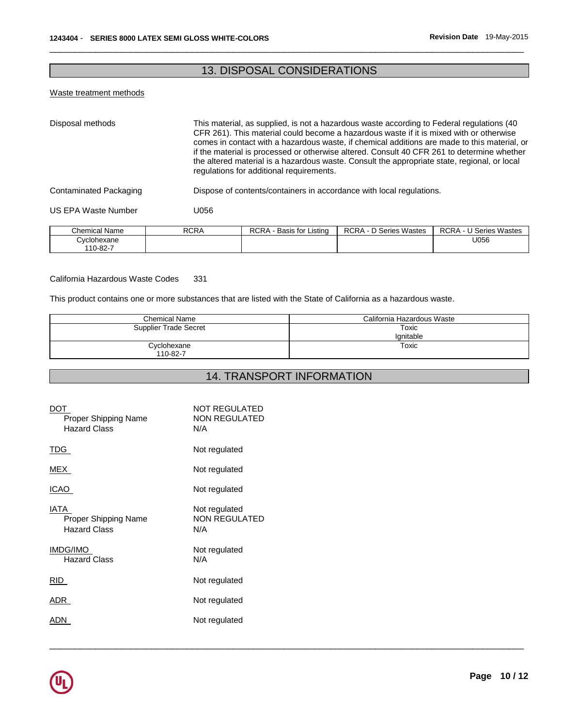## 13. DISPOSAL CONSIDERATIONS

\_\_\_\_\_\_\_\_\_\_\_\_\_\_\_\_\_\_\_\_\_\_\_\_\_\_\_\_\_\_\_\_\_\_\_\_\_\_\_\_\_\_\_\_\_\_\_\_\_\_\_\_\_\_\_\_\_\_\_\_\_\_\_\_\_\_\_\_\_\_\_\_\_\_\_\_\_\_\_\_\_\_\_\_\_\_\_\_\_\_\_\_\_

### Waste treatment methods

110-82-7

| Disposal methods       |             | This material, as supplied, is not a hazardous waste according to Federal regulations (40<br>CFR 261). This material could become a hazardous waste if it is mixed with or otherwise<br>comes in contact with a hazardous waste, if chemical additions are made to this material, or<br>if the material is processed or otherwise altered. Consult 40 CFR 261 to determine whether<br>the altered material is a hazardous waste. Consult the appropriate state, regional, or local<br>regulations for additional requirements. |                               |                               |  |
|------------------------|-------------|--------------------------------------------------------------------------------------------------------------------------------------------------------------------------------------------------------------------------------------------------------------------------------------------------------------------------------------------------------------------------------------------------------------------------------------------------------------------------------------------------------------------------------|-------------------------------|-------------------------------|--|
| Contaminated Packaging |             | Dispose of contents/containers in accordance with local regulations.                                                                                                                                                                                                                                                                                                                                                                                                                                                           |                               |                               |  |
| US EPA Waste Number    | U056        |                                                                                                                                                                                                                                                                                                                                                                                                                                                                                                                                |                               |                               |  |
| <b>Chemical Name</b>   | <b>RCRA</b> | RCRA - Basis for Listing                                                                                                                                                                                                                                                                                                                                                                                                                                                                                                       | <b>RCRA - D Series Wastes</b> | <b>RCRA - U Series Wastes</b> |  |
| Cyclohexane            |             |                                                                                                                                                                                                                                                                                                                                                                                                                                                                                                                                |                               | U056                          |  |

#### California Hazardous Waste Codes 331

This product contains one or more substances that are listed with the State of California as a hazardous waste.

| <b>Chemical Name</b>    | California Hazardous Waste |
|-------------------------|----------------------------|
| Supplier Trade Secret   | Toxic<br>Ignitable         |
| Cyclohexane<br>110-82-7 | Toxic                      |

# 14. TRANSPORT INFORMATION

| DOT<br>Proper Shipping Name<br><b>Hazard Class</b>         | NOT REGULATED<br>NON REGULATED<br>N/A        |
|------------------------------------------------------------|----------------------------------------------|
| TDG.                                                       | Not regulated                                |
| MEX                                                        | Not regulated                                |
| ICAO                                                       | Not regulated                                |
| IATA<br><b>Proper Shipping Name</b><br><b>Hazard Class</b> | Not regulated<br><b>NON REGULATED</b><br>N/A |
| <b>IMDG/IMO</b><br><b>Hazard Class</b>                     | Not regulated<br>N/A                         |
| RID                                                        | Not regulated                                |
| ADR.                                                       | Not regulated                                |
| ADN                                                        | Not regulated                                |
|                                                            |                                              |

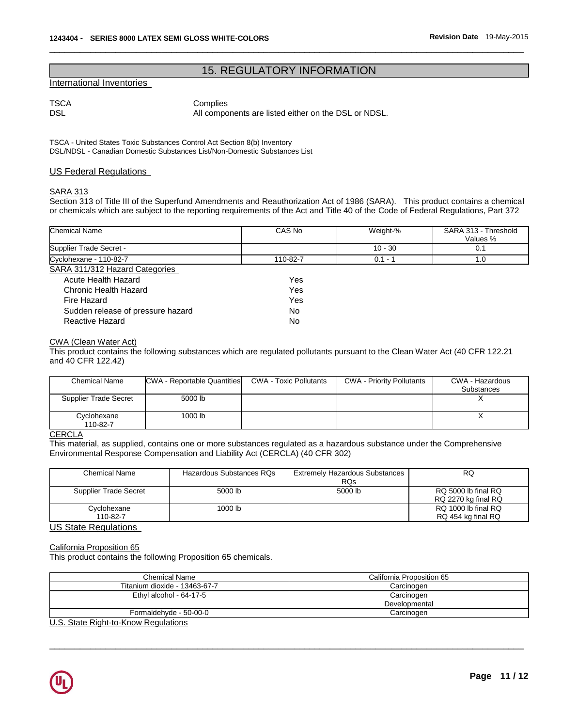## 15. REGULATORY INFORMATION

\_\_\_\_\_\_\_\_\_\_\_\_\_\_\_\_\_\_\_\_\_\_\_\_\_\_\_\_\_\_\_\_\_\_\_\_\_\_\_\_\_\_\_\_\_\_\_\_\_\_\_\_\_\_\_\_\_\_\_\_\_\_\_\_\_\_\_\_\_\_\_\_\_\_\_\_\_\_\_\_\_\_\_\_\_\_\_\_\_\_\_\_\_

### International Inventories

TSCA Complies

DSL DSL All components are listed either on the DSL or NDSL.

TSCA - United States Toxic Substances Control Act Section 8(b) Inventory DSL/NDSL - Canadian Domestic Substances List/Non-Domestic Substances List

### US Federal Regulations

### SARA 313

Section 313 of Title III of the Superfund Amendments and Reauthorization Act of 1986 (SARA). This product contains a chemical or chemicals which are subject to the reporting requirements of the Act and Title 40 of the Code of Federal Regulations, Part 372

| <b>Chemical Name</b>              | CAS No   | Weight-%  | SARA 313 - Threshold<br>Values % |
|-----------------------------------|----------|-----------|----------------------------------|
| Supplier Trade Secret -           |          | $10 - 30$ | 0.1                              |
| Cyclohexane - 110-82-7            | 110-82-7 | $0.1 - 1$ | 1.0                              |
| SARA 311/312 Hazard Categories    |          |           |                                  |
| Acute Health Hazard               | Yes      |           |                                  |
| Chronic Health Hazard             | Yes      |           |                                  |
| Fire Hazard                       | Yes      |           |                                  |
| Sudden release of pressure hazard | No.      |           |                                  |
| Reactive Hazard                   | No.      |           |                                  |

#### CWA (Clean Water Act)

This product contains the following substances which are regulated pollutants pursuant to the Clean Water Act (40 CFR 122.21 and 40 CFR 122.42)

| <b>Chemical Name</b>    | CWA - Reportable Quantities | CWA - Toxic Pollutants | <b>CWA - Priority Pollutants</b> | CWA - Hazardous<br><b>Substances</b> |
|-------------------------|-----------------------------|------------------------|----------------------------------|--------------------------------------|
| Supplier Trade Secret   | 5000 lb                     |                        |                                  |                                      |
| Cyclohexane<br>110-82-7 | 1000 lb                     |                        |                                  |                                      |

### **CERCLA**

This material, as supplied, contains one or more substances regulated as a hazardous substance under the Comprehensive Environmental Response Compensation and Liability Act (CERCLA) (40 CFR 302)

| Chemical Name           | Hazardous Substances RQs | <b>Extremely Hazardous Substances</b><br><b>RQs</b> | RQ                                         |
|-------------------------|--------------------------|-----------------------------------------------------|--------------------------------------------|
| Supplier Trade Secret   | 5000 lb                  | 5000 lb                                             | RQ 5000 lb final RQ<br>RQ 2270 kg final RQ |
| Cyclohexane<br>110-82-7 | 1000 lb                  |                                                     | RQ 1000 lb final RQ<br>RQ 454 kg final RQ  |

#### US State Regulations

### California Proposition 65

This product contains the following Proposition 65 chemicals.

| California Proposition 65 |  |
|---------------------------|--|
| Carcinogen                |  |
| Carcinogen                |  |
| Developmental             |  |
| Carcinogen                |  |
|                           |  |

\_\_\_\_\_\_\_\_\_\_\_\_\_\_\_\_\_\_\_\_\_\_\_\_\_\_\_\_\_\_\_\_\_\_\_\_\_\_\_\_\_\_\_\_\_\_\_\_\_\_\_\_\_\_\_\_\_\_\_\_\_\_\_\_\_\_\_\_\_\_\_\_\_\_\_\_\_\_\_\_\_\_\_\_\_\_\_\_\_\_\_\_\_

U.S. State Right-to-Know Regulations